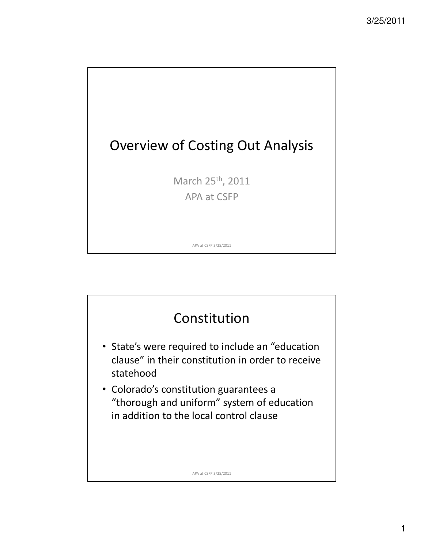

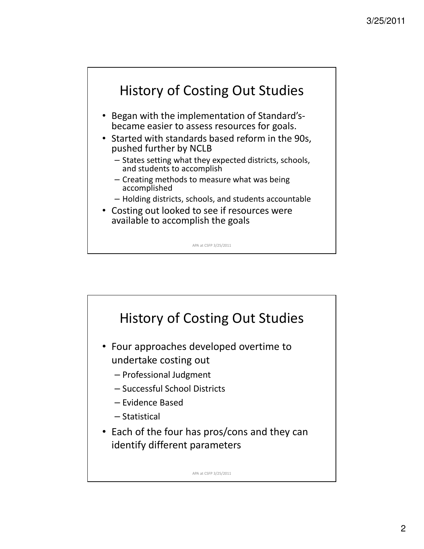

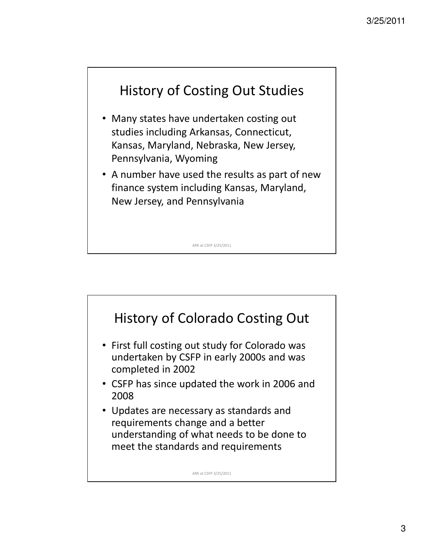

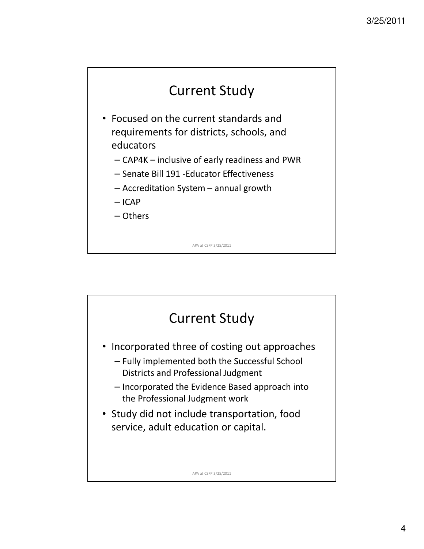

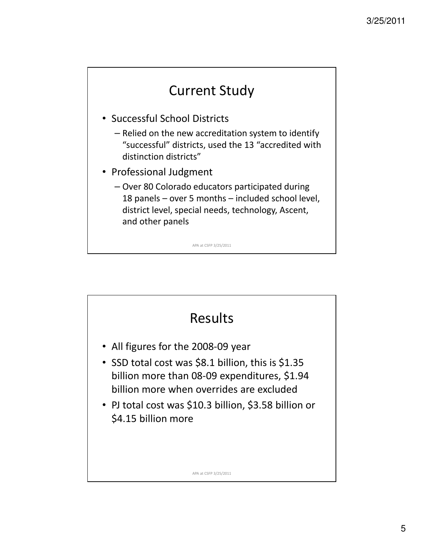